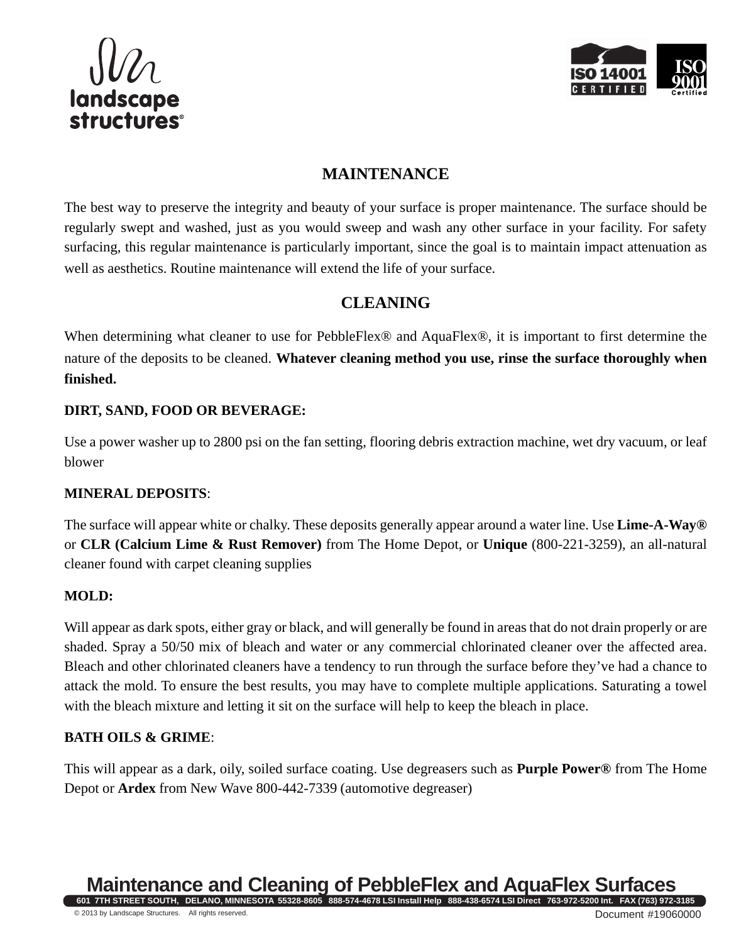



## **MAINTENANCE**

The best way to preserve the integrity and beauty of your surface is proper maintenance. The surface should be regularly swept and washed, just as you would sweep and wash any other surface in your facility. For safety surfacing, this regular maintenance is particularly important, since the goal is to maintain impact attenuation as well as aesthetics. Routine maintenance will extend the life of your surface.

## **CLEANING**

When determining what cleaner to use for PebbleFlex® and AquaFlex®, it is important to first determine the nature of the deposits to be cleaned. **Whatever cleaning method you use, rinse the surface thoroughly when finished.**

## **DIRT, SAND, FOOD OR BEVERAGE:**

Use a power washer up to 2800 psi on the fan setting, flooring debris extraction machine, wet dry vacuum, or leaf blower

## **MINERAL DEPOSITS**:

The surface will appear white or chalky. These deposits generally appear around a water line. Use **Lime-A-Way®** or **CLR (Calcium Lime & Rust Remover)** from The Home Depot, or **Unique** (800-221-3259), an all-natural cleaner found with carpet cleaning supplies

## **MOLD:**

Will appear as dark spots, either gray or black, and will generally be found in areas that do not drain properly or are shaded. Spray a 50/50 mix of bleach and water or any commercial chlorinated cleaner over the affected area. Bleach and other chlorinated cleaners have a tendency to run through the surface before they've had a chance to attack the mold. To ensure the best results, you may have to complete multiple applications. Saturating a towel with the bleach mixture and letting it sit on the surface will help to keep the bleach in place.

## **BATH OILS & GRIME**:

This will appear as a dark, oily, soiled surface coating. Use degreasers such as **Purple Power®** from The Home Depot or **Ardex** from New Wave 800-442-7339 (automotive degreaser)

#### **Maintenance and Cleaning of PebbleFlex and AquaFlex Surfaces 601 7TH STREET SOUTH, DELANO, MINNESOTA 55328-8605 888-574-4678 LSI Install Help 888-438-6574 LSI Direct 763-972-5200 Int. FAX (763) 972-3185**